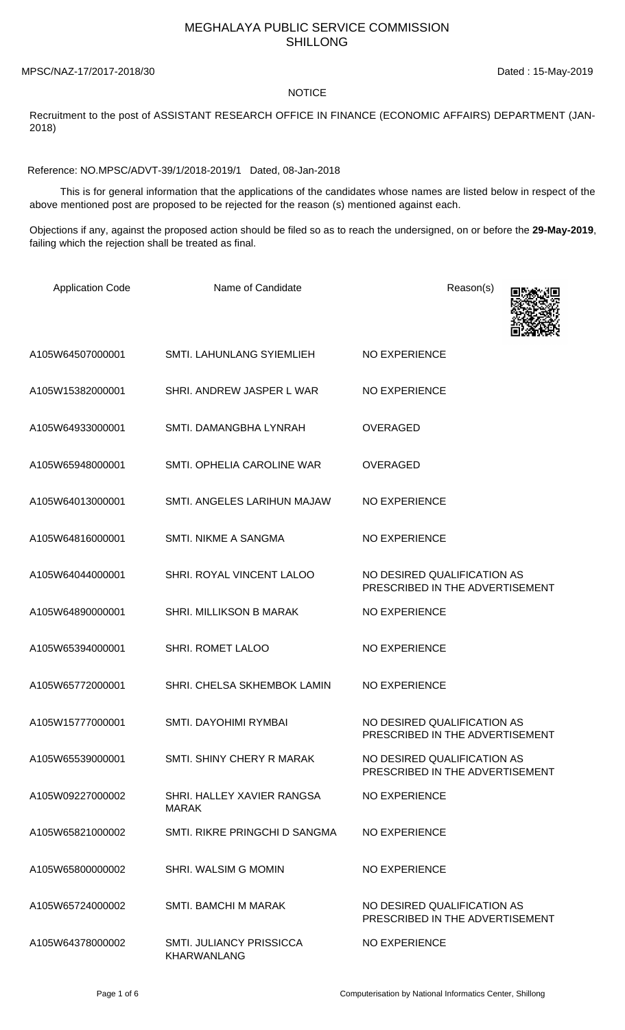## MEGHALAYA PUBLIC SERVICE COMMISSION SHILLONG

MPSC/NAZ-17/2017-2018/30 Dated : 15-May-2019

## **NOTICE**

Recruitment to the post of ASSISTANT RESEARCH OFFICE IN FINANCE (ECONOMIC AFFAIRS) DEPARTMENT (JAN-2018)

Reference: NO.MPSC/ADVT-39/1/2018-2019/1 Dated, 08-Jan-2018

 This is for general information that the applications of the candidates whose names are listed below in respect of the above mentioned post are proposed to be rejected for the reason (s) mentioned against each.

Objections if any, against the proposed action should be filed so as to reach the undersigned, on or before the **29-May-2019**, failing which the rejection shall be treated as final.

| <b>Application Code</b> | Name of Candidate                              | Reason(s)                                                      |
|-------------------------|------------------------------------------------|----------------------------------------------------------------|
| A105W64507000001        | SMTI. LAHUNLANG SYIEMLIEH                      | <b>NO EXPERIENCE</b>                                           |
| A105W15382000001        | SHRI. ANDREW JASPER L WAR                      | <b>NO EXPERIENCE</b>                                           |
| A105W64933000001        | SMTI. DAMANGBHA LYNRAH                         | <b>OVERAGED</b>                                                |
| A105W65948000001        | SMTI. OPHELIA CAROLINE WAR                     | <b>OVERAGED</b>                                                |
| A105W64013000001        | SMTI. ANGELES LARIHUN MAJAW                    | <b>NO EXPERIENCE</b>                                           |
| A105W64816000001        | <b>SMTI. NIKME A SANGMA</b>                    | <b>NO EXPERIENCE</b>                                           |
| A105W64044000001        | SHRI. ROYAL VINCENT LALOO                      | NO DESIRED QUALIFICATION AS<br>PRESCRIBED IN THE ADVERTISEMENT |
| A105W64890000001        | SHRI. MILLIKSON B MARAK                        | <b>NO EXPERIENCE</b>                                           |
| A105W65394000001        | SHRI. ROMET LALOO                              | <b>NO EXPERIENCE</b>                                           |
| A105W65772000001        | SHRI. CHELSA SKHEMBOK LAMIN                    | <b>NO EXPERIENCE</b>                                           |
| A105W15777000001        | SMTI. DAYOHIMI RYMBAI                          | NO DESIRED QUALIFICATION AS<br>PRESCRIBED IN THE ADVERTISEMENT |
| A105W65539000001        | SMTI. SHINY CHERY R MARAK                      | NO DESIRED QUALIFICATION AS<br>PRESCRIBED IN THE ADVERTISEMENT |
| A105W09227000002        | SHRI. HALLEY XAVIER RANGSA<br><b>MARAK</b>     | <b>NO EXPERIENCE</b>                                           |
| A105W65821000002        | SMTI, RIKRE PRINGCHI D SANGMA                  | <b>NO EXPERIENCE</b>                                           |
| A105W65800000002        | SHRI. WALSIM G MOMIN                           | <b>NO EXPERIENCE</b>                                           |
| A105W65724000002        | <b>SMTI. BAMCHI M MARAK</b>                    | NO DESIRED QUALIFICATION AS<br>PRESCRIBED IN THE ADVERTISEMENT |
| A105W64378000002        | SMTI. JULIANCY PRISSICCA<br><b>KHARWANLANG</b> | <b>NO EXPERIENCE</b>                                           |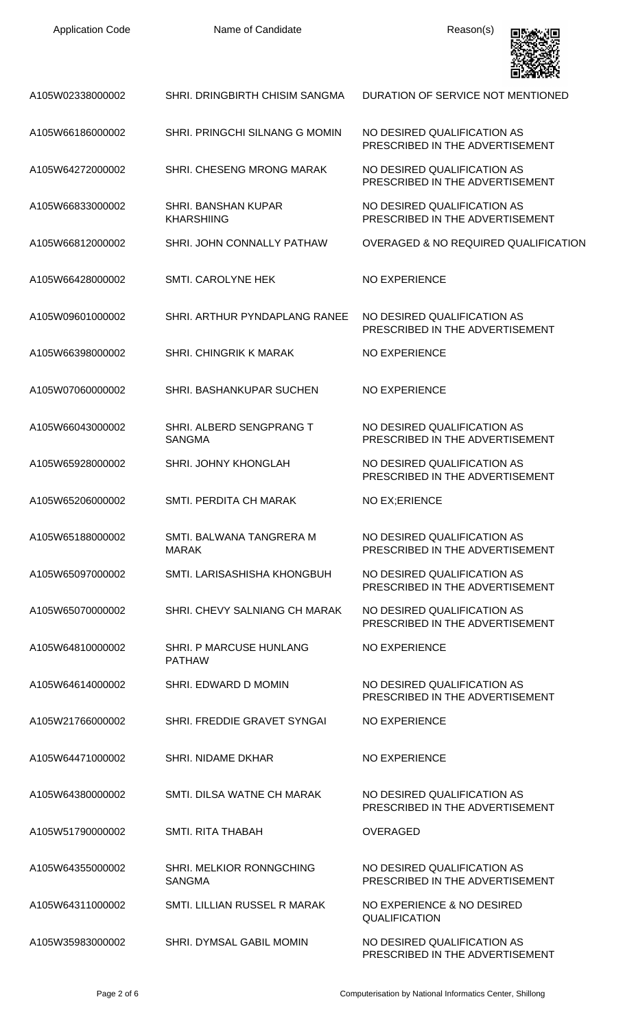| <b>Application Code</b> | Name of Candidate                               | Reason(s)                                                      |
|-------------------------|-------------------------------------------------|----------------------------------------------------------------|
| A105W02338000002        | SHRI. DRINGBIRTH CHISIM SANGMA                  | DURATION OF SERVICE NOT MENTIONED                              |
| A105W66186000002        | SHRI. PRINGCHI SILNANG G MOMIN                  | NO DESIRED QUALIFICATION AS<br>PRESCRIBED IN THE ADVERTISEMENT |
| A105W64272000002        | SHRI. CHESENG MRONG MARAK                       | NO DESIRED QUALIFICATION AS<br>PRESCRIBED IN THE ADVERTISEMENT |
| A105W66833000002        | <b>SHRI. BANSHAN KUPAR</b><br><b>KHARSHIING</b> | NO DESIRED QUALIFICATION AS<br>PRESCRIBED IN THE ADVERTISEMENT |
| A105W66812000002        | SHRI. JOHN CONNALLY PATHAW                      | <b>OVERAGED &amp; NO REQUIRED QUALIFICATION</b>                |
| A105W66428000002        | SMTI. CAROLYNE HEK                              | <b>NO EXPERIENCE</b>                                           |
| A105W09601000002        | SHRI. ARTHUR PYNDAPLANG RANEE                   | NO DESIRED QUALIFICATION AS<br>PRESCRIBED IN THE ADVERTISEMENT |
| A105W66398000002        | <b>SHRI. CHINGRIK K MARAK</b>                   | <b>NO EXPERIENCE</b>                                           |
| A105W07060000002        | SHRI. BASHANKUPAR SUCHEN                        | <b>NO EXPERIENCE</b>                                           |
| A105W66043000002        | SHRI. ALBERD SENGPRANG T<br><b>SANGMA</b>       | NO DESIRED QUALIFICATION AS<br>PRESCRIBED IN THE ADVERTISEMENT |
| A105W65928000002        | SHRI. JOHNY KHONGLAH                            | NO DESIRED QUALIFICATION AS<br>PRESCRIBED IN THE ADVERTISEMENT |
| A105W65206000002        | SMTI. PERDITA CH MARAK                          | NO EX; ERIENCE                                                 |
| A105W65188000002        | SMTI. BALWANA TANGRERA M<br><b>MARAK</b>        | NO DESIRED QUALIFICATION AS<br>PRESCRIBED IN THE ADVERTISEMENT |
| A105W65097000002        | SMTI. LARISASHISHA KHONGBUH                     | NO DESIRED QUALIFICATION AS<br>PRESCRIBED IN THE ADVERTISEMENT |
| A105W65070000002        | SHRI. CHEVY SALNIANG CH MARAK                   | NO DESIRED QUALIFICATION AS<br>PRESCRIBED IN THE ADVERTISEMENT |
| A105W64810000002        | SHRI. P MARCUSE HUNLANG<br><b>PATHAW</b>        | <b>NO EXPERIENCE</b>                                           |
| A105W64614000002        | SHRI. EDWARD D MOMIN                            | NO DESIRED QUALIFICATION AS<br>PRESCRIBED IN THE ADVERTISEMENT |
| A105W21766000002        | SHRI. FREDDIE GRAVET SYNGAI                     | <b>NO EXPERIENCE</b>                                           |
| A105W64471000002        | <b>SHRI. NIDAME DKHAR</b>                       | <b>NO EXPERIENCE</b>                                           |
| A105W64380000002        | SMTI. DILSA WATNE CH MARAK                      | NO DESIRED QUALIFICATION AS<br>PRESCRIBED IN THE ADVERTISEMENT |
| A105W51790000002        | SMTI. RITA THABAH                               | <b>OVERAGED</b>                                                |
| A105W64355000002        | SHRI. MELKIOR RONNGCHING<br><b>SANGMA</b>       | NO DESIRED QUALIFICATION AS<br>PRESCRIBED IN THE ADVERTISEMENT |
| A105W64311000002        | SMTI. LILLIAN RUSSEL R MARAK                    | NO EXPERIENCE & NO DESIRED<br>QUALIFICATION                    |
| A105W35983000002        | SHRI. DYMSAL GABIL MOMIN                        | NO DESIRED QUALIFICATION AS<br>PRESCRIBED IN THE ADVERTISEMENT |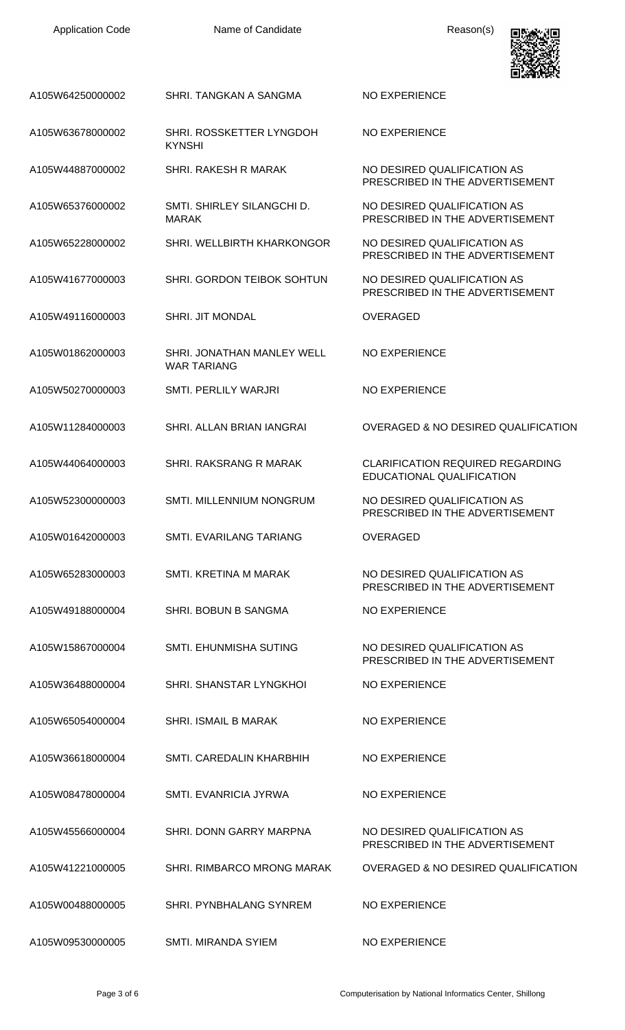| <b>Application Code</b> | Name of Candidate                                | Reason(s)                                                            |
|-------------------------|--------------------------------------------------|----------------------------------------------------------------------|
| A105W64250000002        | SHRI. TANGKAN A SANGMA                           | <b>NO EXPERIENCE</b>                                                 |
| A105W63678000002        | SHRI. ROSSKETTER LYNGDOH<br><b>KYNSHI</b>        | <b>NO EXPERIENCE</b>                                                 |
| A105W44887000002        | SHRI. RAKESH R MARAK                             | NO DESIRED QUALIFICATION AS<br>PRESCRIBED IN THE ADVERTISEMENT       |
| A105W65376000002        | SMTI. SHIRLEY SILANGCHI D.<br><b>MARAK</b>       | NO DESIRED QUALIFICATION AS<br>PRESCRIBED IN THE ADVERTISEMENT       |
| A105W65228000002        | SHRI. WELLBIRTH KHARKONGOR                       | NO DESIRED QUALIFICATION AS<br>PRESCRIBED IN THE ADVERTISEMENT       |
| A105W41677000003        | SHRI. GORDON TEIBOK SOHTUN                       | NO DESIRED QUALIFICATION AS<br>PRESCRIBED IN THE ADVERTISEMENT       |
| A105W49116000003        | <b>SHRI. JIT MONDAL</b>                          | <b>OVERAGED</b>                                                      |
| A105W01862000003        | SHRI. JONATHAN MANLEY WELL<br><b>WAR TARIANG</b> | <b>NO EXPERIENCE</b>                                                 |
| A105W50270000003        | SMTI. PERLILY WARJRI                             | <b>NO EXPERIENCE</b>                                                 |
| A105W11284000003        | SHRI. ALLAN BRIAN IANGRAI                        | OVERAGED & NO DESIRED QUALIFICATION                                  |
| A105W44064000003        | SHRI. RAKSRANG R MARAK                           | <b>CLARIFICATION REQUIRED REGARDING</b><br>EDUCATIONAL QUALIFICATION |
| A105W52300000003        | SMTI. MILLENNIUM NONGRUM                         | NO DESIRED QUALIFICATION AS<br>PRESCRIBED IN THE ADVERTISEMENT       |
| A105W01642000003        | <b>SMTI. EVARILANG TARIANG</b>                   | OVERAGED                                                             |
| A105W65283000003        | SMTI, KRETINA M MARAK                            | NO DESIRED QUALIFICATION AS<br>PRESCRIBED IN THE ADVERTISEMENT       |
| A105W49188000004        | SHRI. BOBUN B SANGMA                             | <b>NO EXPERIENCE</b>                                                 |
| A105W15867000004        | <b>SMTI. EHUNMISHA SUTING</b>                    | NO DESIRED QUALIFICATION AS<br>PRESCRIBED IN THE ADVERTISEMENT       |
| A105W36488000004        | <b>SHRI. SHANSTAR LYNGKHOL</b>                   | <b>NO EXPERIENCE</b>                                                 |
| A105W65054000004        | <b>SHRI. ISMAIL B MARAK</b>                      | <b>NO EXPERIENCE</b>                                                 |
| A105W36618000004        | SMTI, CAREDALIN KHARBHIH                         | <b>NO EXPERIENCE</b>                                                 |
| A105W08478000004        | <b>SMTI. EVANRICIA JYRWA</b>                     | <b>NO EXPERIENCE</b>                                                 |
| A105W45566000004        | SHRI. DONN GARRY MARPNA                          | NO DESIRED QUALIFICATION AS<br>PRESCRIBED IN THE ADVERTISEMENT       |
| A105W41221000005        | SHRI. RIMBARCO MRONG MARAK                       | OVERAGED & NO DESIRED QUALIFICATION                                  |
| A105W00488000005        | <b>SHRI. PYNBHALANG SYNREM</b>                   | <b>NO EXPERIENCE</b>                                                 |
| A105W09530000005        | SMTI. MIRANDA SYIEM                              | <b>NO EXPERIENCE</b>                                                 |

Application Code **Name of Candidate Name of Candidate** Reason(s)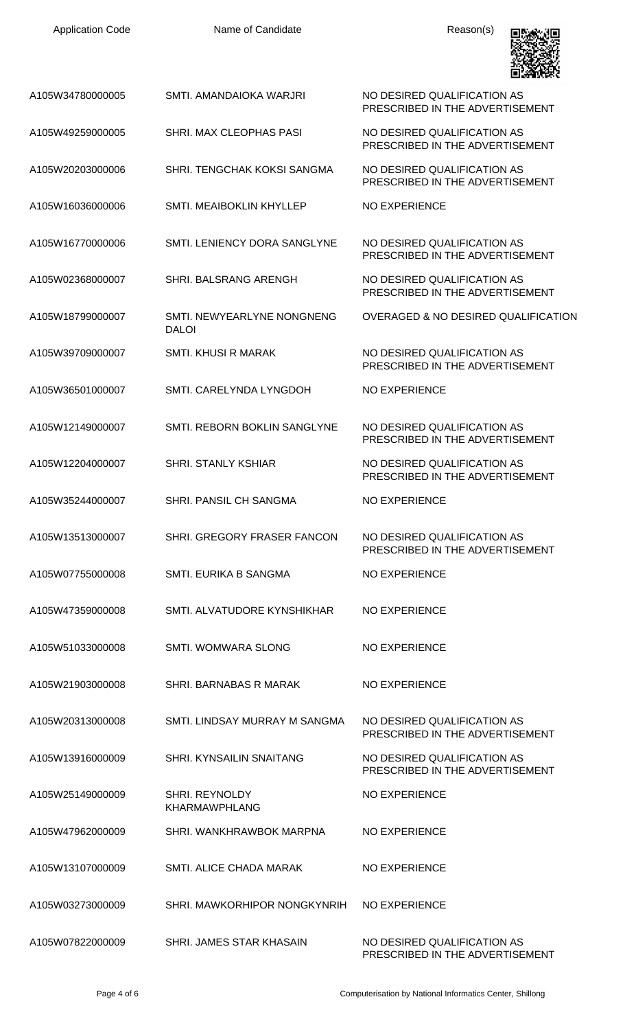| <b>Application Code</b> | Name of Candidate                          | Reason(s)                                                      |
|-------------------------|--------------------------------------------|----------------------------------------------------------------|
| A105W34780000005        | SMTI, AMANDAIOKA WARJRI                    | NO DESIRED QUALIFICATION AS<br>PRESCRIBED IN THE ADVERTISEMENT |
| A105W49259000005        | SHRI. MAX CLEOPHAS PASI                    | NO DESIRED QUALIFICATION AS<br>PRESCRIBED IN THE ADVERTISEMENT |
| A105W20203000006        | SHRI. TENGCHAK KOKSI SANGMA                | NO DESIRED QUALIFICATION AS<br>PRESCRIBED IN THE ADVERTISEMENT |
| A105W16036000006        | SMTI. MEAIBOKLIN KHYLLEP                   | <b>NO EXPERIENCE</b>                                           |
| A105W16770000006        | SMTI. LENIENCY DORA SANGLYNE               | NO DESIRED QUALIFICATION AS<br>PRESCRIBED IN THE ADVERTISEMENT |
| A105W02368000007        | <b>SHRI. BALSRANG ARENGH</b>               | NO DESIRED QUALIFICATION AS<br>PRESCRIBED IN THE ADVERTISEMENT |
| A105W18799000007        | SMTI. NEWYEARLYNE NONGNENG<br><b>DALOI</b> | OVERAGED & NO DESIRED QUALIFICATION                            |
| A105W39709000007        | <b>SMTI. KHUSI R MARAK</b>                 | NO DESIRED QUALIFICATION AS<br>PRESCRIBED IN THE ADVERTISEMENT |
| A105W36501000007        | SMTI. CARELYNDA LYNGDOH                    | <b>NO EXPERIENCE</b>                                           |
| A105W12149000007        | SMTI. REBORN BOKLIN SANGLYNE               | NO DESIRED QUALIFICATION AS<br>PRESCRIBED IN THE ADVERTISEMENT |
| A105W12204000007        | <b>SHRI. STANLY KSHIAR</b>                 | NO DESIRED QUALIFICATION AS<br>PRESCRIBED IN THE ADVERTISEMENT |
| A105W35244000007        | SHRI. PANSIL CH SANGMA                     | NO EXPERIENCE                                                  |
| A105W13513000007        | SHRI. GREGORY FRASER FANCON                | NO DESIRED QUALIFICATION AS<br>PRESCRIBED IN THE ADVERTISEMENT |
| A105W07755000008        | SMTI. EURIKA B SANGMA                      | <b>NO EXPERIENCE</b>                                           |
| A105W47359000008        | SMTI. ALVATUDORE KYNSHIKHAR                | <b>NO EXPERIENCE</b>                                           |
| A105W51033000008        | SMTI. WOMWARA SLONG                        | <b>NO EXPERIENCE</b>                                           |
| A105W21903000008        | SHRI. BARNABAS R MARAK                     | <b>NO EXPERIENCE</b>                                           |
| A105W20313000008        | SMTI. LINDSAY MURRAY M SANGMA              | NO DESIRED QUALIFICATION AS<br>PRESCRIBED IN THE ADVERTISEMENT |
| A105W13916000009        | SHRI. KYNSAILIN SNAITANG                   | NO DESIRED QUALIFICATION AS<br>PRESCRIBED IN THE ADVERTISEMENT |
| A105W25149000009        | SHRI. REYNOLDY<br><b>KHARMAWPHLANG</b>     | <b>NO EXPERIENCE</b>                                           |
| A105W47962000009        | SHRI. WANKHRAWBOK MARPNA                   | <b>NO EXPERIENCE</b>                                           |
| A105W13107000009        | SMTI. ALICE CHADA MARAK                    | <b>NO EXPERIENCE</b>                                           |
| A105W03273000009        | SHRI. MAWKORHIPOR NONGKYNRIH               | <b>NO EXPERIENCE</b>                                           |
| A105W07822000009        | SHRI. JAMES STAR KHASAIN                   | NO DESIRED QUALIFICATION AS<br>PRESCRIBED IN THE ADVERTISEMENT |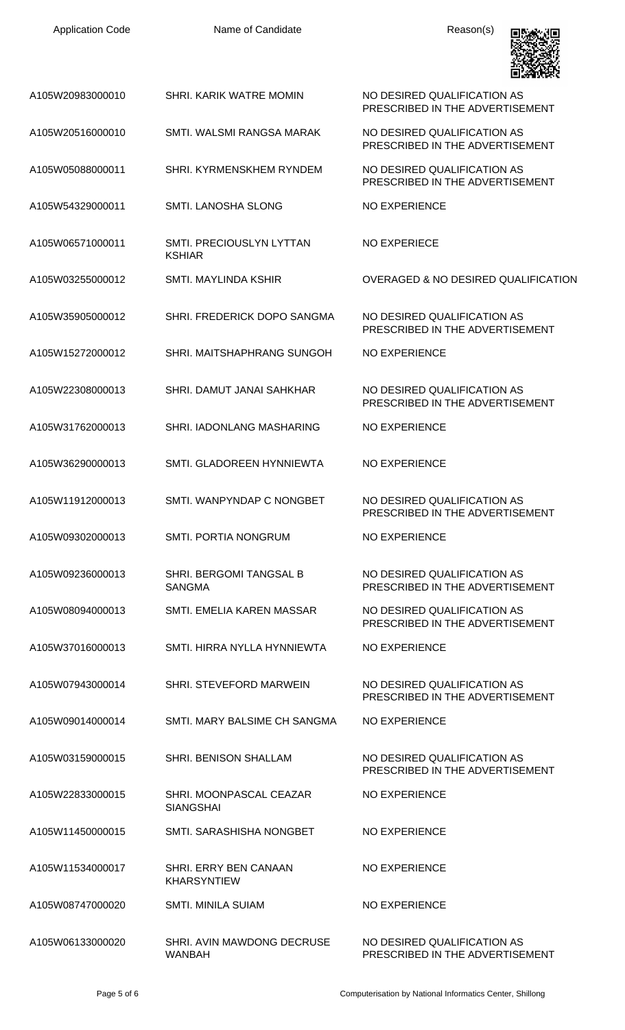| <b>Application Code</b> | Name of Candidate                                  | Reason(s)                                                      |
|-------------------------|----------------------------------------------------|----------------------------------------------------------------|
| A105W20983000010        | SHRI, KARIK WATRE MOMIN                            | NO DESIRED QUALIFICATION AS<br>PRESCRIBED IN THE ADVERTISEMENT |
| A105W20516000010        | SMTI. WALSMI RANGSA MARAK                          | NO DESIRED QUALIFICATION AS<br>PRESCRIBED IN THE ADVERTISEMENT |
| A105W05088000011        | SHRI. KYRMENSKHEM RYNDEM                           | NO DESIRED QUALIFICATION AS<br>PRESCRIBED IN THE ADVERTISEMENT |
| A105W54329000011        | SMTI. LANOSHA SLONG                                | <b>NO EXPERIENCE</b>                                           |
| A105W06571000011        | SMTI. PRECIOUSLYN LYTTAN<br><b>KSHIAR</b>          | <b>NO EXPERIECE</b>                                            |
| A105W03255000012        | SMTI. MAYLINDA KSHIR                               | OVERAGED & NO DESIRED QUALIFICATION                            |
| A105W35905000012        | SHRI. FREDERICK DOPO SANGMA                        | NO DESIRED QUALIFICATION AS<br>PRESCRIBED IN THE ADVERTISEMENT |
| A105W15272000012        | SHRI. MAITSHAPHRANG SUNGOH                         | <b>NO EXPERIENCE</b>                                           |
| A105W22308000013        | SHRI. DAMUT JANAI SAHKHAR                          | NO DESIRED QUALIFICATION AS<br>PRESCRIBED IN THE ADVERTISEMENT |
| A105W31762000013        | SHRI. IADONLANG MASHARING                          | <b>NO EXPERIENCE</b>                                           |
| A105W36290000013        | SMTI. GLADOREEN HYNNIEWTA                          | <b>NO EXPERIENCE</b>                                           |
| A105W11912000013        | SMTI, WANPYNDAP C NONGBET                          | NO DESIRED QUALIFICATION AS<br>PRESCRIBED IN THE ADVERTISEMENT |
| A105W09302000013        | <b>SMTI. PORTIA NONGRUM</b>                        | NO EXPERIENCE                                                  |
| A105W09236000013        | SHRI. BERGOMI TANGSAL B<br><b>SANGMA</b>           | NO DESIRED QUALIFICATION AS<br>PRESCRIBED IN THE ADVERTISEMENT |
| A105W08094000013        | SMTI. EMELIA KAREN MASSAR                          | NO DESIRED QUALIFICATION AS<br>PRESCRIBED IN THE ADVERTISEMENT |
| A105W37016000013        | SMTI. HIRRA NYLLA HYNNIEWTA                        | <b>NO EXPERIENCE</b>                                           |
| A105W07943000014        | SHRI. STEVEFORD MARWEIN                            | NO DESIRED QUALIFICATION AS<br>PRESCRIBED IN THE ADVERTISEMENT |
| A105W09014000014        | SMTI, MARY BALSIME CH SANGMA                       | <b>NO EXPERIENCE</b>                                           |
| A105W03159000015        | <b>SHRI. BENISON SHALLAM</b>                       | NO DESIRED QUALIFICATION AS<br>PRESCRIBED IN THE ADVERTISEMENT |
| A105W22833000015        | SHRI. MOONPASCAL CEAZAR<br><b>SIANGSHAI</b>        | <b>NO EXPERIENCE</b>                                           |
| A105W11450000015        | SMTI. SARASHISHA NONGBET                           | <b>NO EXPERIENCE</b>                                           |
| A105W11534000017        | <b>SHRI. ERRY BEN CANAAN</b><br><b>KHARSYNTIEW</b> | <b>NO EXPERIENCE</b>                                           |
| A105W08747000020        | <b>SMTI. MINILA SUIAM</b>                          | <b>NO EXPERIENCE</b>                                           |
| A105W06133000020        | SHRI. AVIN MAWDONG DECRUSE<br><b>WANBAH</b>        | NO DESIRED QUALIFICATION AS<br>PRESCRIBED IN THE ADVERTISEMENT |